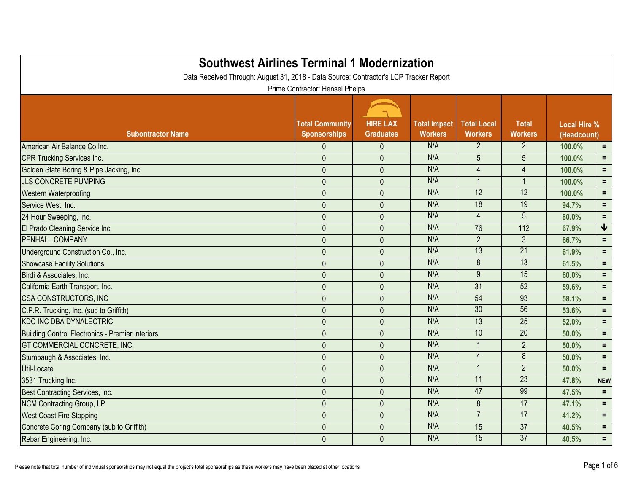| <b>Southwest Airlines Terminal 1 Modernization</b><br>Data Received Through: August 31, 2018 - Data Source: Contractor's LCP Tracker Report | Prime Contractor: Hensel Phelps               |                                     |                                       |                                      |                                |                                    |                         |
|---------------------------------------------------------------------------------------------------------------------------------------------|-----------------------------------------------|-------------------------------------|---------------------------------------|--------------------------------------|--------------------------------|------------------------------------|-------------------------|
| <b>Subontractor Name</b>                                                                                                                    | <b>Total Community</b><br><b>Sponsorships</b> | <b>HIRE LAX</b><br><b>Graduates</b> | <b>Total Impact</b><br><b>Workers</b> | <b>Total Local</b><br><b>Workers</b> | <b>Total</b><br><b>Workers</b> | <b>Local Hire %</b><br>(Headcount) |                         |
| American Air Balance Co Inc.                                                                                                                | $\theta$                                      | $\mathbf{0}$                        | N/A                                   | $\overline{2}$                       | $\overline{2}$                 | 100.0%                             | $\equiv$ .              |
| <b>CPR Trucking Services Inc.</b>                                                                                                           | $\mathbf{0}$                                  | $\mathbf{0}$                        | N/A                                   | $5\overline{)}$                      | 5                              | 100.0%                             | $\equiv$                |
| Golden State Boring & Pipe Jacking, Inc.                                                                                                    | $\mathbf{0}$                                  | $\mathbf 0$                         | N/A                                   | $\overline{4}$                       | $\overline{4}$                 | 100.0%                             | $\equiv$                |
| <b>JLS CONCRETE PUMPING</b>                                                                                                                 | $\pmb{0}$                                     | $\mathbf{0}$                        | N/A                                   |                                      | $\overline{\mathbf{1}}$        | 100.0%                             | $=$ .                   |
| <b>Western Waterproofing</b>                                                                                                                | $\pmb{0}$                                     | $\mathbf{0}$                        | N/A                                   | 12                                   | 12                             | 100.0%                             | $=$                     |
| Service West, Inc.                                                                                                                          | $\mathbf{0}$                                  | $\mathbf{0}$                        | N/A                                   | 18                                   | 19                             | 94.7%                              | $=$ .                   |
| 24 Hour Sweeping, Inc.                                                                                                                      | $\theta$                                      | $\mathbf{0}$                        | N/A                                   | $\overline{4}$                       | 5                              | 80.0%                              | $=$                     |
| El Prado Cleaning Service Inc.                                                                                                              | $\pmb{0}$                                     | $\mathbf{0}$                        | N/A                                   | 76                                   | 112                            | 67.9%                              | $\overline{\mathbf{t}}$ |
| <b>PENHALL COMPANY</b>                                                                                                                      | $\theta$                                      | $\mathbf{0}$                        | N/A                                   | $\overline{2}$                       | $\mathfrak{Z}$                 | 66.7%                              | $=$                     |
| Underground Construction Co., Inc.                                                                                                          | $\theta$                                      | $\mathbf{0}$                        | N/A                                   | 13                                   | $\overline{21}$                | 61.9%                              | $=$                     |
| <b>Showcase Facility Solutions</b>                                                                                                          | $\mathbf{0}$                                  | $\mathbf{0}$                        | N/A                                   | 8                                    | $\overline{13}$                | 61.5%                              | $=$                     |
| Birdi & Associates, Inc.                                                                                                                    | $\theta$                                      | $\mathbf{0}$                        | N/A                                   | 9                                    | 15                             | 60.0%                              | $=$                     |
| California Earth Transport, Inc.                                                                                                            | $\pmb{0}$                                     | $\mathbf{0}$                        | N/A                                   | 31                                   | 52                             | 59.6%                              | $\equiv$                |
| <b>CSA CONSTRUCTORS, INC.</b>                                                                                                               | $\mathbf{0}$                                  | $\mathbf{0}$                        | N/A                                   | 54                                   | 93                             | 58.1%                              | $=$                     |
| C.P.R. Trucking, Inc. (sub to Griffith)                                                                                                     | $\theta$                                      | $\mathbf{0}$                        | N/A                                   | 30                                   | 56                             | 53.6%                              | $\equiv$ .              |
| KDC INC DBA DYNALECTRIC                                                                                                                     | $\pmb{0}$                                     | $\mathbf{0}$                        | N/A                                   | 13                                   | 25                             | 52.0%                              | $=$                     |
| Building Control Electronics - Premier Interiors                                                                                            | $\theta$                                      | $\mathbf{0}$                        | N/A                                   | 10                                   | $\overline{20}$                | 50.0%                              | $=$                     |
| <b>GT COMMERCIAL CONCRETE, INC.</b>                                                                                                         | $\mathbf{0}$                                  | $\mathbf{0}$                        | N/A                                   |                                      | $\overline{2}$                 | 50.0%                              | $\equiv$                |
| Stumbaugh & Associates, Inc.                                                                                                                | $\pmb{0}$                                     | $\mathbf 0$                         | N/A                                   | $\overline{4}$                       | $\overline{8}$                 | 50.0%                              | $=$                     |
| Util-Locate                                                                                                                                 | $\pmb{0}$                                     | $\mathbf{0}$                        | N/A                                   |                                      | $\overline{2}$                 | 50.0%                              | $=$ .                   |
| 3531 Trucking Inc.                                                                                                                          | $\mathbf{0}$                                  | $\mathbf{0}$                        | N/A                                   | $\overline{11}$                      | $\overline{23}$                | 47.8%                              | <b>NEW</b>              |
| Best Contracting Services, Inc.                                                                                                             | $\boldsymbol{0}$                              | $\mathbf{0}$                        | N/A                                   | 47                                   | 99                             | 47.5%                              | $=$                     |
| <b>NCM Contracting Group, LP</b>                                                                                                            | $\mathbf{0}$                                  | $\mathbf 0$                         | N/A                                   | 8                                    | 17                             | 47.1%                              | $\equiv$ .              |
| <b>West Coast Fire Stopping</b>                                                                                                             | $\pmb{0}$                                     | $\pmb{0}$                           | N/A                                   |                                      | 17                             | 41.2%                              | $\equiv$                |
| Concrete Coring Company (sub to Griffith)                                                                                                   | $\pmb{0}$                                     | $\mathbf 0$                         | N/A                                   | 15                                   | 37                             | 40.5%                              | $=$ .                   |
| Rebar Engineering, Inc.                                                                                                                     | $\pmb{0}$                                     | $\mathbf 0$                         | N/A                                   | 15                                   | 37                             | 40.5%                              | $\equiv$ .              |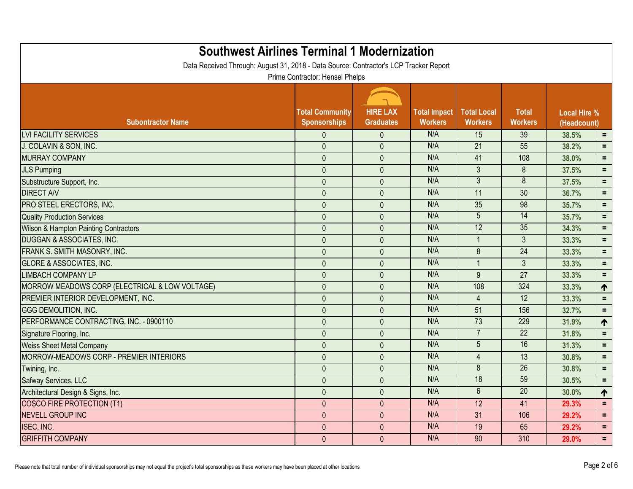| <b>Southwest Airlines Terminal 1 Modernization</b><br>Data Received Through: August 31, 2018 - Data Source: Contractor's LCP Tracker Report |                                               |                                     |                                       |                                      |                                |       |                                    |  |
|---------------------------------------------------------------------------------------------------------------------------------------------|-----------------------------------------------|-------------------------------------|---------------------------------------|--------------------------------------|--------------------------------|-------|------------------------------------|--|
|                                                                                                                                             | Prime Contractor: Hensel Phelps               |                                     |                                       |                                      |                                |       |                                    |  |
| <b>Subontractor Name</b>                                                                                                                    | <b>Total Community</b><br><b>Sponsorships</b> | <b>HIRE LAX</b><br><b>Graduates</b> | <b>Total Impact</b><br><b>Workers</b> | <b>Total Local</b><br><b>Workers</b> | <b>Total</b><br><b>Workers</b> |       | <b>Local Hire %</b><br>(Headcount) |  |
| <b>LVI FACILITY SERVICES</b>                                                                                                                | $\mathbf{0}$                                  | $\mathbf{0}$                        | N/A                                   | 15                                   | 39                             | 38.5% | $\equiv$                           |  |
| J. COLAVIN & SON, INC.                                                                                                                      | $\mathbf{0}$                                  | $\mathbf{0}$                        | N/A                                   | 21                                   | 55                             | 38.2% | $\equiv$                           |  |
| <b>MURRAY COMPANY</b>                                                                                                                       | $\mathbf{0}$                                  | $\mathbf{0}$                        | N/A                                   | 41                                   | 108                            | 38.0% | $\equiv$                           |  |
| <b>JLS Pumping</b>                                                                                                                          | $\pmb{0}$                                     | $\mathbf{0}$                        | N/A                                   | $\mathfrak{Z}$                       | 8                              | 37.5% | $\equiv$                           |  |
| Substructure Support, Inc.                                                                                                                  | $\mathbf 0$                                   | $\mathbf{0}$                        | N/A                                   | $\overline{3}$                       | $\overline{8}$                 | 37.5% | $\equiv$                           |  |
| <b>DIRECT A/V</b>                                                                                                                           | $\mathbf{0}$                                  | $\mathbf{0}$                        | N/A                                   | 11                                   | 30                             | 36.7% | $\equiv$                           |  |
| PRO STEEL ERECTORS, INC.                                                                                                                    | $\mathbf{0}$                                  | $\mathbf{0}$                        | N/A                                   | 35                                   | 98                             | 35.7% | $\equiv$                           |  |
| <b>Quality Production Services</b>                                                                                                          | $\mathbf 0$                                   | $\mathbf{0}$                        | N/A                                   | 5                                    | 14                             | 35.7% | $\equiv$                           |  |
| <b>Wilson &amp; Hampton Painting Contractors</b>                                                                                            | $\mathbf{0}$                                  | $\mathbf{0}$                        | N/A                                   | 12                                   | 35                             | 34.3% | $\equiv$                           |  |
| <b>DUGGAN &amp; ASSOCIATES, INC.</b>                                                                                                        | $\pmb{0}$                                     | $\mathbf{0}$                        | N/A                                   |                                      | 3                              | 33.3% | $\equiv$                           |  |
| FRANK S. SMITH MASONRY, INC.                                                                                                                | $\mathbf{0}$                                  | $\mathbf{0}$                        | N/A                                   | 8                                    | 24                             | 33.3% | $=$                                |  |
| <b>GLORE &amp; ASSOCIATES, INC.</b>                                                                                                         | $\mathbf{0}$                                  | $\mathbf{0}$                        | N/A                                   |                                      | 3                              | 33.3% | $\equiv$                           |  |
| <b>LIMBACH COMPANY LP</b>                                                                                                                   | $\pmb{0}$                                     | $\mathbf{0}$                        | N/A                                   | 9                                    | 27                             | 33.3% | $\equiv$                           |  |
| MORROW MEADOWS CORP (ELECTRICAL & LOW VOLTAGE)                                                                                              | $\mathbf{0}$                                  | $\mathbf{0}$                        | N/A                                   | 108                                  | 324                            | 33.3% | ↑                                  |  |
| PREMIER INTERIOR DEVELOPMENT, INC.                                                                                                          | $\mathbf 0$                                   | $\mathbf{0}$                        | N/A                                   |                                      | 12                             | 33.3% | $\equiv$                           |  |
| <b>GGG DEMOLITION, INC.</b>                                                                                                                 | $\mathbf 0$                                   | $\mathbf{0}$                        | N/A                                   | 51                                   | 156                            | 32.7% | $\equiv$                           |  |
| PERFORMANCE CONTRACTING, INC. - 0900110                                                                                                     | $\mathbf{0}$                                  | $\mathbf{0}$                        | N/A                                   | 73                                   | 229                            | 31.9% | 个                                  |  |
| Signature Flooring, Inc.                                                                                                                    | $\pmb{0}$                                     | $\mathbf{0}$                        | N/A                                   |                                      | $\overline{22}$                | 31.8% | $\equiv$                           |  |
| <b>Weiss Sheet Metal Company</b>                                                                                                            | $\mathbf 0$                                   | $\mathbf{0}$                        | N/A                                   | 5                                    | 16                             | 31.3% | $=$                                |  |
| MORROW-MEADOWS CORP - PREMIER INTERIORS                                                                                                     | $\mathbf{0}$                                  | $\mathbf{0}$                        | N/A                                   | 4                                    | 13                             | 30.8% | $\equiv$                           |  |
| Twining, Inc.                                                                                                                               | $\mathbf 0$                                   | $\mathbf{0}$                        | N/A                                   | 8                                    | $\overline{26}$                | 30.8% | $=$                                |  |
| Safway Services, LLC                                                                                                                        | 0                                             | $\mathbf{0}$                        | N/A                                   | 18                                   | 59                             | 30.5% | Ξ.                                 |  |
| Architectural Design & Signs, Inc.                                                                                                          | $\mathbf{0}$                                  | $\mathbf{0}$                        | N/A                                   | $\overline{6}$                       | 20                             | 30.0% | $\blacklozenge$                    |  |
| COSCO FIRE PROTECTION (T1)                                                                                                                  | $\mathbf 0$                                   | $\pmb{0}$                           | N/A                                   | 12                                   | 41                             | 29.3% | Ξ.                                 |  |
| <b>NEVELL GROUP INC</b>                                                                                                                     | $\pmb{0}$                                     | $\mathbf{0}$                        | N/A                                   | 31                                   | 106                            | 29.2% | $\equiv$                           |  |
| ISEC, INC.                                                                                                                                  | $\mathbf 0$                                   | $\pmb{0}$                           | N/A                                   | 19                                   | 65                             | 29.2% | Ξ.                                 |  |
| <b>GRIFFITH COMPANY</b>                                                                                                                     | $\pmb{0}$                                     | $\overline{0}$                      | N/A                                   | 90                                   | 310                            | 29.0% | $\equiv$ .                         |  |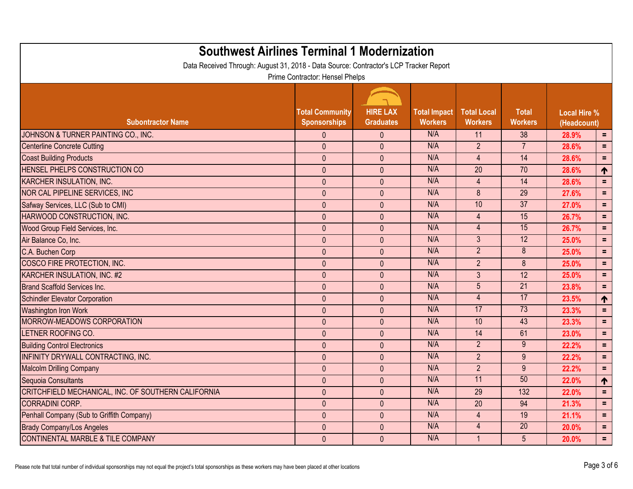| <b>Southwest Airlines Terminal 1 Modernization</b><br>Data Received Through: August 31, 2018 - Data Source: Contractor's LCP Tracker Report |                                               |                                     |                                       |                                      |                                |                                    |          |  |
|---------------------------------------------------------------------------------------------------------------------------------------------|-----------------------------------------------|-------------------------------------|---------------------------------------|--------------------------------------|--------------------------------|------------------------------------|----------|--|
|                                                                                                                                             | Prime Contractor: Hensel Phelps               |                                     |                                       |                                      |                                |                                    |          |  |
| <b>Subontractor Name</b>                                                                                                                    | <b>Total Community</b><br><b>Sponsorships</b> | <b>HIRE LAX</b><br><b>Graduates</b> | <b>Total Impact</b><br><b>Workers</b> | <b>Total Local</b><br><b>Workers</b> | <b>Total</b><br><b>Workers</b> | <b>Local Hire %</b><br>(Headcount) |          |  |
| JOHNSON & TURNER PAINTING CO., INC.                                                                                                         | $\theta$                                      | $\theta$                            | N/A                                   | 11                                   | 38                             | 28.9%                              | $=$      |  |
| Centerline Concrete Cutting                                                                                                                 | $\mathbf{0}$                                  | $\mathbf{0}$                        | N/A                                   | 2 <sup>1</sup>                       | $\overline{7}$                 | 28.6%                              | $\equiv$ |  |
| <b>Coast Building Products</b>                                                                                                              | $\pmb{0}$                                     | $\mathbf{0}$                        | N/A                                   | $\overline{4}$                       | 14                             | 28.6%                              | $\equiv$ |  |
| <b>HENSEL PHELPS CONSTRUCTION CO</b>                                                                                                        | $\mathbf{0}$                                  | $\mathbf{0}$                        | N/A                                   | 20                                   | 70                             | 28.6%                              | ↑        |  |
| KARCHER INSULATION, INC.                                                                                                                    | $\mathbf{0}$                                  | $\mathbf{0}$                        | N/A                                   | $\overline{4}$                       | 14                             | 28.6%                              | $\equiv$ |  |
| NOR CAL PIPELINE SERVICES, INC                                                                                                              | $\pmb{0}$                                     | $\mathbf{0}$                        | N/A                                   | 8                                    | 29                             | 27.6%                              | $=$      |  |
| Safway Services, LLC (Sub to CMI)                                                                                                           | $\pmb{0}$                                     | $\mathbf{0}$                        | N/A                                   | 10                                   | $\overline{37}$                | 27.0%                              | $\equiv$ |  |
| HARWOOD CONSTRUCTION, INC.                                                                                                                  | $\mathbf{0}$                                  | $\mathbf{0}$                        | N/A                                   | $\overline{4}$                       | 15                             | 26.7%                              | $=$      |  |
| Wood Group Field Services, Inc.                                                                                                             | $\pmb{0}$                                     | $\mathbf{0}$                        | N/A                                   | $\overline{4}$                       | 15                             | 26.7%                              | $=$      |  |
| Air Balance Co, Inc.                                                                                                                        | $\pmb{0}$                                     | $\mathbf{0}$                        | N/A                                   | 3 <sup>5</sup>                       | 12                             | 25.0%                              | $\equiv$ |  |
| C.A. Buchen Corp                                                                                                                            | $\pmb{0}$                                     | $\mathbf{0}$                        | N/A                                   | 2 <sup>1</sup>                       | 8                              | 25.0%                              | $\equiv$ |  |
| COSCO FIRE PROTECTION, INC.                                                                                                                 | $\mathbf{0}$                                  | $\mathbf{0}$                        | N/A                                   | $\overline{2}$                       | 8                              | 25.0%                              | $=$      |  |
| KARCHER INSULATION, INC. #2                                                                                                                 | $\pmb{0}$                                     | $\mathbf{0}$                        | N/A                                   | $\mathfrak{Z}$                       | 12                             | 25.0%                              | $\equiv$ |  |
| Brand Scaffold Services Inc.                                                                                                                | $\mathbf{0}$                                  | $\mathbf{0}$                        | N/A                                   | 5 <sup>5</sup>                       | $\overline{21}$                | 23.8%                              | $=$      |  |
| Schindler Elevator Corporation                                                                                                              | $\pmb{0}$                                     | $\mathbf{0}$                        | N/A                                   | $\overline{4}$                       | 17                             | 23.5%                              | ↑        |  |
| <b>Washington Iron Work</b>                                                                                                                 | $\pmb{0}$                                     | $\mathbf{0}$                        | N/A                                   | 17                                   | 73                             | 23.3%                              | $=$      |  |
| MORROW-MEADOWS CORPORATION                                                                                                                  | $\mathbf{0}$                                  | $\mathbf{0}$                        | N/A                                   | 10                                   | 43                             | 23.3%                              | $\equiv$ |  |
| LETNER ROOFING CO.                                                                                                                          | $\mathbf{0}$                                  | $\mathbf{0}$                        | N/A                                   | 14                                   | 61                             | 23.0%                              | $\equiv$ |  |
| <b>Building Control Electronics</b>                                                                                                         | $\pmb{0}$                                     | $\mathbf{0}$                        | N/A                                   | $\overline{2}$                       | 9                              | 22.2%                              | $\equiv$ |  |
| <b>INFINITY DRYWALL CONTRACTING, INC.</b>                                                                                                   | $\mathbf{0}$                                  | $\mathbf{0}$                        | N/A                                   | $\overline{2}$                       | 9                              | 22.2%                              | $=$      |  |
| <b>Malcolm Drilling Company</b>                                                                                                             | $\mathbf{0}$                                  | $\mathbf{0}$                        | N/A                                   | $\overline{2}$                       | 9                              | 22.2%                              | $=$      |  |
| Sequoia Consultants                                                                                                                         | $\pmb{0}$                                     | $\pmb{0}$                           | N/A                                   | 11                                   | 50                             | 22.0%                              | T        |  |
| CRITCHFIELD MECHANICAL, INC. OF SOUTHERN CALIFORNIA                                                                                         | $\theta$                                      | $\mathbf{0}$                        | N/A                                   | 29                                   | 132                            | 22.0%                              | $\equiv$ |  |
| <b>CORRADINI CORP.</b>                                                                                                                      | $\pmb{0}$                                     | $\mathbf{0}$                        | N/A                                   | 20                                   | 94                             | 21.3%                              | Ξ.       |  |
| Penhall Company (Sub to Griffith Company)                                                                                                   | $\pmb{0}$                                     | $\mathbf{0}$                        | N/A                                   | $\overline{4}$                       | 19                             | 21.1%                              | $\equiv$ |  |
| <b>Brady Company/Los Angeles</b>                                                                                                            | $\pmb{0}$                                     | $\pmb{0}$                           | N/A                                   | $\overline{4}$                       | 20                             | 20.0%                              | $\equiv$ |  |
| CONTINENTAL MARBLE & TILE COMPANY                                                                                                           | $\pmb{0}$                                     | $\pmb{0}$                           | N/A                                   |                                      | $5\phantom{.0}$                | 20.0%                              | $\equiv$ |  |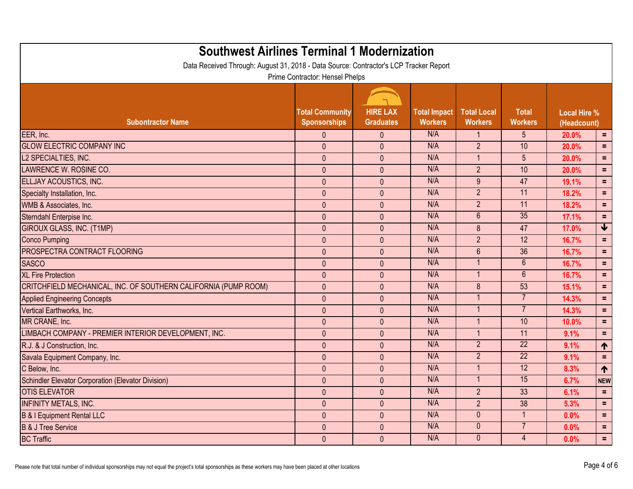| <b>Southwest Airlines Terminal 1 Modernization</b><br>Data Received Through: August 31, 2018 - Data Source: Contractor's LCP Tracker Report |                                               |                                     |                                       |                                      |                                |                                    |                 |
|---------------------------------------------------------------------------------------------------------------------------------------------|-----------------------------------------------|-------------------------------------|---------------------------------------|--------------------------------------|--------------------------------|------------------------------------|-----------------|
|                                                                                                                                             | Prime Contractor: Hensel Phelps               |                                     |                                       |                                      |                                |                                    |                 |
| <b>Subontractor Name</b>                                                                                                                    | <b>Total Community</b><br><b>Sponsorships</b> | <b>HIRE LAX</b><br><b>Graduates</b> | <b>Total Impact</b><br><b>Workers</b> | <b>Total Local</b><br><b>Workers</b> | <b>Total</b><br><b>Workers</b> | <b>Local Hire %</b><br>(Headcount) |                 |
| EER, Inc.                                                                                                                                   | $\theta$                                      | $\mathbf{0}$                        | N/A                                   |                                      | 5                              | 20.0%                              | $=$             |
| <b>GLOW ELECTRIC COMPANY INC</b>                                                                                                            | $\mathbf{0}$                                  | $\theta$                            | N/A                                   | $\overline{2}$                       | 10                             | 20.0%                              | $=$             |
| L2 SPECIALTIES, INC.                                                                                                                        | $\mathbf{0}$                                  | $\mathbf{0}$                        | N/A                                   | $\overline{\mathbf{1}}$              | 5                              | 20.0%                              | $=$             |
| LAWRENCE W. ROSINE CO.                                                                                                                      | $\pmb{0}$                                     | $\mathbf{0}$                        | N/A                                   | 2 <sup>1</sup>                       | 10                             | 20.0%                              | $\equiv$        |
| <b>ELLJAY ACOUSTICS, INC.</b>                                                                                                               | $\pmb{0}$                                     | $\mathbf{0}$                        | N/A                                   | 9                                    | 47                             | 19.1%                              | $=$             |
| Specialty Installation, Inc.                                                                                                                | $\mathbf{0}$                                  | $\mathbf{0}$                        | N/A                                   | $\overline{2}$                       | 11                             | 18.2%                              | $\equiv$        |
| WMB & Associates, Inc.                                                                                                                      | $\pmb{0}$                                     | $\mathbf{0}$                        | N/A                                   | $\overline{2}$                       | 11                             | 18.2%                              | $\equiv$        |
| Sterndahl Enterpise Inc.                                                                                                                    | $\pmb{0}$                                     | $\mathbf{0}$                        | N/A                                   | $\overline{6}$                       | 35                             | 17.1%                              | $\equiv$        |
| GIROUX GLASS, INC. (T1MP)                                                                                                                   | $\mathbf{0}$                                  | $\mathbf{0}$                        | N/A                                   | 8                                    | 47                             | 17.0%                              | $\blacklozenge$ |
| <b>Conco Pumping</b>                                                                                                                        | $\pmb{0}$                                     | $\mathbf{0}$                        | N/A                                   | $\overline{2}$                       | 12                             | 16.7%                              | $\equiv$        |
| <b>PROSPECTRA CONTRACT FLOORING</b>                                                                                                         | $\mathbf{0}$                                  | $\mathbf{0}$                        | N/A                                   | $6\phantom{1}$                       | 36                             | 16.7%                              | $=$             |
| <b>SASCO</b>                                                                                                                                | $\mathbf{0}$                                  | $\mathbf{0}$                        | N/A                                   |                                      | $6\phantom{1}$                 | 16.7%                              | $\equiv$        |
| <b>XL Fire Protection</b>                                                                                                                   | $\pmb{0}$                                     | $\mathbf{0}$                        | N/A                                   | -1                                   | $6\phantom{1}$                 | 16.7%                              | $=$             |
| CRITCHFIELD MECHANICAL, INC. OF SOUTHERN CALIFORNIA (PUMP ROOM)                                                                             | $\mathbf{0}$                                  | $\mathbf{0}$                        | N/A                                   | 8                                    | 53                             | 15.1%                              | $\equiv$        |
| <b>Applied Engineering Concepts</b>                                                                                                         | $\mathbf{0}$                                  | $\mathbf{0}$                        | N/A                                   |                                      | $\overline{7}$                 | 14.3%                              | $\equiv$        |
| Vertical Earthworks, Inc.                                                                                                                   | $\pmb{0}$                                     | $\mathbf{0}$                        | N/A                                   |                                      | $\overline{7}$                 | 14.3%                              | $\equiv$        |
| MR CRANE, Inc.                                                                                                                              | $\mathbf{0}$                                  | $\mathbf{0}$                        | N/A                                   | $\overline{\mathbf{1}}$              | 10                             | 10.0%                              | $\equiv$        |
| LIMBACH COMPANY - PREMIER INTERIOR DEVELOPMENT, INC.                                                                                        | $\mathbf{0}$                                  | $\mathbf{0}$                        | N/A                                   |                                      | 11                             | 9.1%                               | $\equiv$        |
| R.J. & J Construction, Inc.                                                                                                                 | $\mathbf{0}$                                  | $\mathbf{0}$                        | N/A                                   | $\overline{2}$                       | $\overline{22}$                | 9.1%                               | ↑               |
| Savala Equipment Company, Inc.                                                                                                              | $\pmb{0}$                                     | $\mathbf{0}$                        | N/A                                   | 2 <sup>2</sup>                       | $\overline{22}$                | 9.1%                               | $\equiv$        |
| C Below, Inc.                                                                                                                               | $\mathbf{0}$                                  | $\mathbf{0}$                        | N/A                                   | -1                                   | 12                             | 8.3%                               | $\blacklozenge$ |
| Schindler Elevator Corporation (Elevator Division)                                                                                          | $\theta$                                      | $\mathbf 0$                         | N/A                                   |                                      | 15                             | 6.7%                               | <b>NEW</b>      |
| <b>OTIS ELEVATOR</b>                                                                                                                        | $\mathbf{0}$                                  | $\mathbf{0}$                        | N/A                                   | 2 <sup>1</sup>                       | 33                             | 6.1%                               | E.              |
| <b>INFINITY METALS, INC.</b>                                                                                                                | $\pmb{0}$                                     | $\pmb{0}$                           | N/A                                   | 2 <sup>1</sup>                       | 38                             | 5.3%                               | $\equiv$        |
| B & I Equipment Rental LLC                                                                                                                  | $\pmb{0}$                                     | $\mathbf{0}$                        | N/A                                   | $\mathbf{0}$                         | $\mathbf{1}$                   | 0.0%                               | $\equiv$        |
| <b>B &amp; J Tree Service</b>                                                                                                               | $\pmb{0}$                                     | $\mathbf{0}$                        | N/A                                   | $\mathbf{0}$                         | $\overline{7}$                 | 0.0%                               | $\equiv$        |
| <b>BC Traffic</b>                                                                                                                           | $\pmb{0}$                                     | $\pmb{0}$                           | N/A                                   | $\mathbf{0}$                         | $\overline{4}$                 | 0.0%                               | $\equiv$ .      |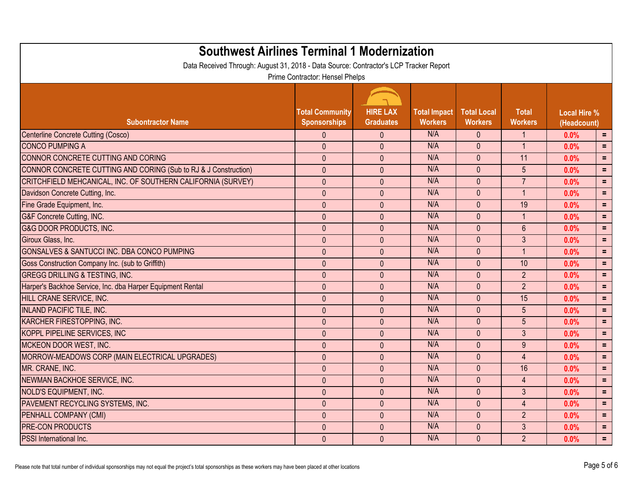| <b>Southwest Airlines Terminal 1 Modernization</b><br>Data Received Through: August 31, 2018 - Data Source: Contractor's LCP Tracker Report |                                               |                                     |                                       |                                      |                                |                                    |            |  |  |
|---------------------------------------------------------------------------------------------------------------------------------------------|-----------------------------------------------|-------------------------------------|---------------------------------------|--------------------------------------|--------------------------------|------------------------------------|------------|--|--|
| Prime Contractor: Hensel Phelps                                                                                                             |                                               |                                     |                                       |                                      |                                |                                    |            |  |  |
| <b>Subontractor Name</b>                                                                                                                    | <b>Total Community</b><br><b>Sponsorships</b> | <b>HIRE LAX</b><br><b>Graduates</b> | <b>Total Impact</b><br><b>Workers</b> | <b>Total Local</b><br><b>Workers</b> | <b>Total</b><br><b>Workers</b> | <b>Local Hire %</b><br>(Headcount) |            |  |  |
| Centerline Concrete Cutting (Cosco)                                                                                                         | $\mathbf{0}$                                  | $\mathbf{0}$                        | N/A                                   | $\mathbf{0}$                         | -1                             | 0.0%                               | $=$        |  |  |
| <b>CONCO PUMPING A</b>                                                                                                                      | $\mathbf{0}$                                  | $\theta$                            | N/A                                   | $\mathbf{0}$                         | 1                              | 0.0%                               | $\equiv$   |  |  |
| CONNOR CONCRETE CUTTING AND CORING                                                                                                          | $\pmb{0}$                                     | $\pmb{0}$                           | N/A                                   | $\mathbf{0}$                         | 11                             | 0.0%                               | $\equiv$   |  |  |
| CONNOR CONCRETE CUTTING AND CORING (Sub to RJ & J Construction)                                                                             | $\mathbf{0}$                                  | $\mathbf{0}$                        | N/A                                   | $\mathbf{0}$                         | 5                              | 0.0%                               | $=$        |  |  |
| CRITCHFIELD MEHCANICAL, INC. OF SOUTHERN CALIFORNIA (SURVEY)                                                                                | $\pmb{0}$                                     | $\mathbf{0}$                        | N/A                                   | $\overline{0}$                       | $\overline{7}$                 | 0.0%                               | $\equiv$   |  |  |
| Davidson Concrete Cutting, Inc.                                                                                                             | $\pmb{0}$                                     | $\mathbf{0}$                        | N/A                                   | $\mathbf{0}$                         | $\overline{1}$                 | 0.0%                               | $\equiv$   |  |  |
| Fine Grade Equipment, Inc.                                                                                                                  | $\pmb{0}$                                     | $\mathbf{0}$                        | N/A                                   | $\mathbf{0}$                         | 19                             | 0.0%                               | $\equiv$   |  |  |
| G&F Concrete Cutting, INC.                                                                                                                  | $\mathbf{0}$                                  | $\mathbf{0}$                        | N/A                                   | $\mathbf{0}$                         | $\overline{1}$                 | 0.0%                               | $=$        |  |  |
| G&G DOOR PRODUCTS, INC.                                                                                                                     | $\mathbf 0$                                   | $\mathbf{0}$                        | N/A                                   | $\mathbf{0}$                         | $6\phantom{1}$                 | 0.0%                               | $\equiv$   |  |  |
| Giroux Glass, Inc.                                                                                                                          | $\mathbf 0$                                   | $\mathbf{0}$                        | N/A                                   | $\mathbf{0}$                         | 3                              | 0.0%                               | $\equiv$   |  |  |
| <b>GONSALVES &amp; SANTUCCI INC. DBA CONCO PUMPING</b>                                                                                      | $\mathbf 0$                                   | $\mathbf{0}$                        | N/A                                   | $\mathbf{0}$                         | $\overline{1}$                 | 0.0%                               | $\equiv$   |  |  |
| Goss Construction Company Inc. (sub to Griffith)                                                                                            | $\mathbf{0}$                                  | $\mathbf{0}$                        | N/A                                   | $\mathbf{0}$                         | 10                             | 0.0%                               | $\equiv$   |  |  |
| <b>GREGG DRILLING &amp; TESTING, INC.</b>                                                                                                   | $\mathbf 0$                                   | $\mathbf{0}$                        | N/A                                   | $\mathbf{0}$                         | $\overline{2}$                 | 0.0%                               | $\equiv$   |  |  |
| Harper's Backhoe Service, Inc. dba Harper Equipment Rental                                                                                  | $\mathbf{0}$                                  | $\mathbf{0}$                        | N/A                                   | $\mathbf{0}$                         | $\overline{2}$                 | 0.0%                               | $\equiv$   |  |  |
| HILL CRANE SERVICE, INC.                                                                                                                    | $\pmb{0}$                                     | $\mathbf{0}$                        | N/A                                   | $\mathbf{0}$                         | 15                             | 0.0%                               | $\equiv$   |  |  |
| <b>INLAND PACIFIC TILE, INC.</b>                                                                                                            | $\pmb{0}$                                     | $\mathbf{0}$                        | N/A                                   | $\mathbf{0}$                         | 5                              | 0.0%                               | $=$        |  |  |
| KARCHER FIRESTOPPING, INC.                                                                                                                  | $\mathbf{0}$                                  | $\mathbf{0}$                        | N/A                                   | $\mathbf{0}$                         | 5                              | 0.0%                               | $\equiv$   |  |  |
| KOPPL PIPELINE SERVICES, INC                                                                                                                | $\mathbf{0}$                                  | $\mathbf{0}$                        | N/A                                   | $\mathbf{0}$                         | 3                              | 0.0%                               | $\equiv$   |  |  |
| MCKEON DOOR WEST, INC.                                                                                                                      | $\pmb{0}$                                     | $\mathbf{0}$                        | N/A                                   | $\mathbf{0}$                         | 9                              | 0.0%                               | $\equiv$   |  |  |
| MORROW-MEADOWS CORP (MAIN ELECTRICAL UPGRADES)                                                                                              | $\mathbf{0}$                                  | $\mathbf{0}$                        | N/A                                   | $\mathbf{0}$                         | $\overline{4}$                 | 0.0%                               | $=$        |  |  |
| MR. CRANE, INC.                                                                                                                             | $\mathbf{0}$                                  | $\mathbf{0}$                        | N/A                                   | $\mathbf{0}$                         | 16                             | 0.0%                               | $=$        |  |  |
| NEWMAN BACKHOE SERVICE, INC.                                                                                                                | $\pmb{0}$                                     | $\mathbf{0}$                        | N/A                                   | $\mathbf{0}$                         | $\overline{4}$                 | 0.0%                               | Ξ          |  |  |
| NOLD'S EQUIPMENT, INC.                                                                                                                      | $\mathbf{0}$                                  | $\mathbf{0}$                        | N/A                                   | $\mathbf{0}$                         | 3                              | 0.0%                               | $\equiv$   |  |  |
| <b>PAVEMENT RECYCLING SYSTEMS, INC.</b>                                                                                                     | $\mathbf 0$                                   | $\mathbf{0}$                        | N/A                                   | $\mathbf{0}$                         | $\overline{4}$                 | 0.0%                               | $=$        |  |  |
| PENHALL COMPANY (CMI)                                                                                                                       | $\overline{0}$                                | $\mathbf{0}$                        | N/A                                   | $\mathbf{0}$                         | $\overline{2}$                 | 0.0%                               | $=$        |  |  |
| <b>PRE-CON PRODUCTS</b>                                                                                                                     | $\mathbf{0}$                                  | $\mathbf{0}$                        | N/A                                   | $\mathbf{0}$                         | $\mathfrak{Z}$                 | 0.0%                               | $=$        |  |  |
| <b>PSSI</b> International Inc.                                                                                                              | $\pmb{0}$                                     | $\mathbf{0}$                        | N/A                                   | $\overline{0}$                       | $\overline{2}$                 | 0.0%                               | $\equiv$ . |  |  |